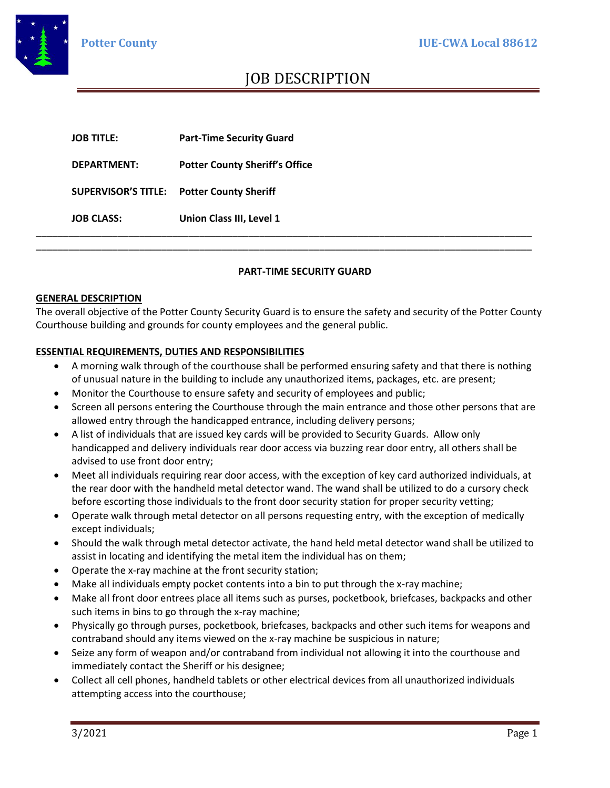

## JOB DESCRIPTION

| <b>JOB TITLE:</b>  | <b>Part-Time Security Guard</b>                  |
|--------------------|--------------------------------------------------|
| <b>DEPARTMENT:</b> | <b>Potter County Sheriff's Office</b>            |
|                    | <b>SUPERVISOR'S TITLE: Potter County Sheriff</b> |
| <b>JOB CLASS:</b>  | Union Class III, Level 1                         |
|                    |                                                  |

#### **PART-TIME SECURITY GUARD**

#### **GENERAL DESCRIPTION**

The overall objective of the Potter County Security Guard is to ensure the safety and security of the Potter County Courthouse building and grounds for county employees and the general public.

#### **ESSENTIAL REQUIREMENTS, DUTIES AND RESPONSIBILITIES**

- A morning walk through of the courthouse shall be performed ensuring safety and that there is nothing of unusual nature in the building to include any unauthorized items, packages, etc. are present;
- Monitor the Courthouse to ensure safety and security of employees and public;
- Screen all persons entering the Courthouse through the main entrance and those other persons that are allowed entry through the handicapped entrance, including delivery persons;
- A list of individuals that are issued key cards will be provided to Security Guards. Allow only handicapped and delivery individuals rear door access via buzzing rear door entry, all others shall be advised to use front door entry;
- Meet all individuals requiring rear door access, with the exception of key card authorized individuals, at the rear door with the handheld metal detector wand. The wand shall be utilized to do a cursory check before escorting those individuals to the front door security station for proper security vetting;
- Operate walk through metal detector on all persons requesting entry, with the exception of medically except individuals;
- Should the walk through metal detector activate, the hand held metal detector wand shall be utilized to assist in locating and identifying the metal item the individual has on them;
- Operate the x-ray machine at the front security station;
- Make all individuals empty pocket contents into a bin to put through the x-ray machine;
- Make all front door entrees place all items such as purses, pocketbook, briefcases, backpacks and other such items in bins to go through the x-ray machine;
- Physically go through purses, pocketbook, briefcases, backpacks and other such items for weapons and contraband should any items viewed on the x-ray machine be suspicious in nature;
- Seize any form of weapon and/or contraband from individual not allowing it into the courthouse and immediately contact the Sheriff or his designee;
- Collect all cell phones, handheld tablets or other electrical devices from all unauthorized individuals attempting access into the courthouse;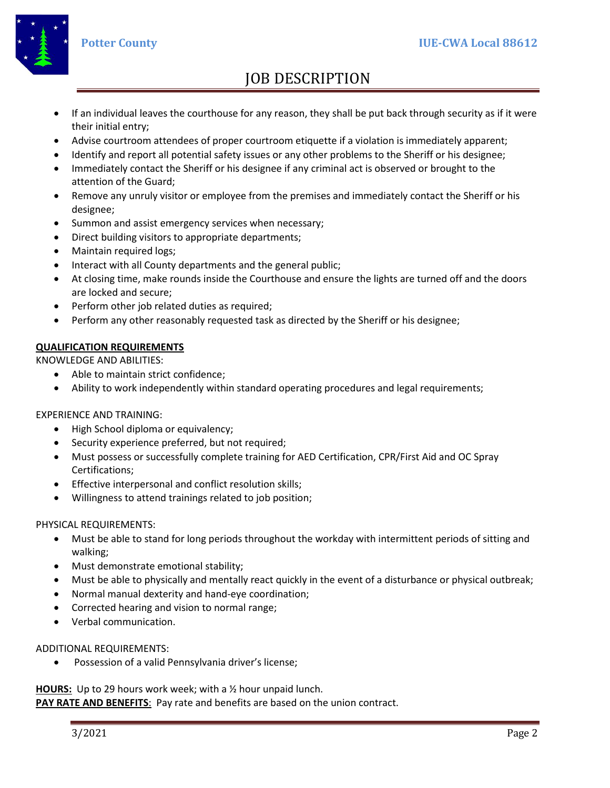

# JOB DESCRIPTION

- If an individual leaves the courthouse for any reason, they shall be put back through security as if it were their initial entry;
- Advise courtroom attendees of proper courtroom etiquette if a violation is immediately apparent;
- Identify and report all potential safety issues or any other problems to the Sheriff or his designee;
- Immediately contact the Sheriff or his designee if any criminal act is observed or brought to the attention of the Guard;
- Remove any unruly visitor or employee from the premises and immediately contact the Sheriff or his designee;
- Summon and assist emergency services when necessary;
- Direct building visitors to appropriate departments;
- Maintain required logs;
- Interact with all County departments and the general public;
- At closing time, make rounds inside the Courthouse and ensure the lights are turned off and the doors are locked and secure;
- Perform other job related duties as required;
- Perform any other reasonably requested task as directed by the Sheriff or his designee;

### **QUALIFICATION REQUIREMENTS**

KNOWLEDGE AND ABILITIES:

- Able to maintain strict confidence;
- Ability to work independently within standard operating procedures and legal requirements;

### EXPERIENCE AND TRAINING:

- High School diploma or equivalency;
- Security experience preferred, but not required;
- Must possess or successfully complete training for AED Certification, CPR/First Aid and OC Spray Certifications;
- Effective interpersonal and conflict resolution skills;
- Willingness to attend trainings related to job position;

### PHYSICAL REQUIREMENTS:

- Must be able to stand for long periods throughout the workday with intermittent periods of sitting and walking;
- Must demonstrate emotional stability;
- Must be able to physically and mentally react quickly in the event of a disturbance or physical outbreak;
- Normal manual dexterity and hand-eye coordination;
- Corrected hearing and vision to normal range;
- Verbal communication.

### ADDITIONAL REQUIREMENTS:

• Possession of a valid Pennsylvania driver's license;

**HOURS:** Up to 29 hours work week; with a ½ hour unpaid lunch.

**PAY RATE AND BENEFITS**: Pay rate and benefits are based on the union contract.